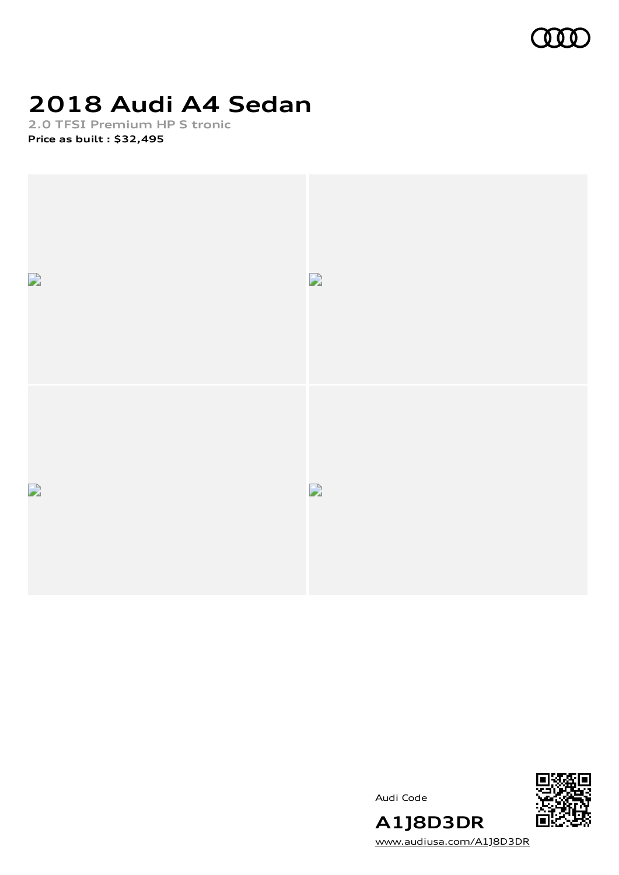

# **2018 Audi A4 Sedan**

**2.0 TFSI Premium HP S tronic Price as built [:](#page-10-0) \$32,495**





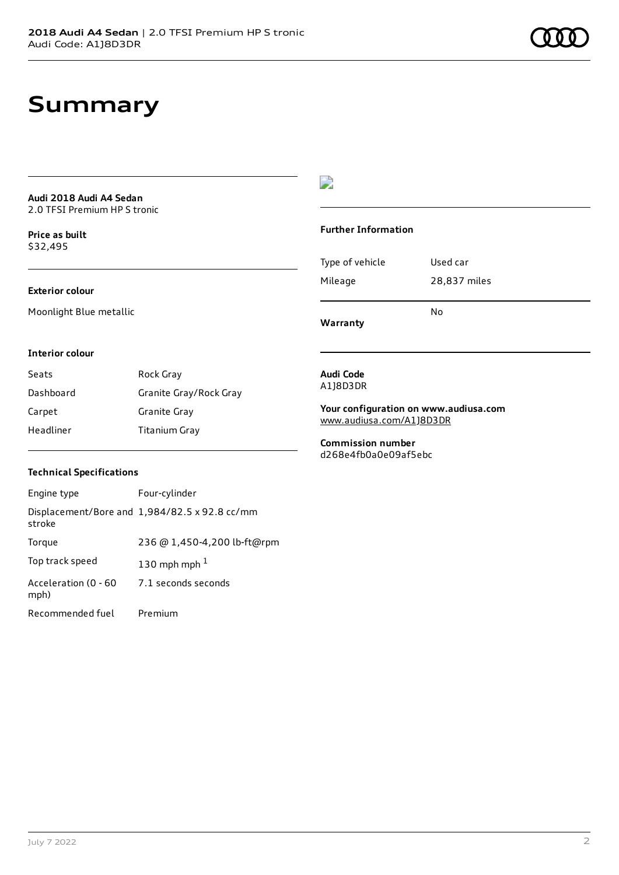### **Summary**

**Audi 2018 Audi A4 Sedan** 2.0 TFSI Premium HP S tronic

**Price as buil[t](#page-10-0)** \$32,495

#### **Exterior colour**

Moonlight Blue metallic

### $\overline{\phantom{a}}$

#### **Further Information**

|                 | N٥           |
|-----------------|--------------|
| Mileage         | 28,837 miles |
| Type of vehicle | Used car     |

**Warranty**

#### **Interior colour**

| Seats     | Rock Gray              |
|-----------|------------------------|
| Dashboard | Granite Gray/Rock Gray |
| Carpet    | Granite Gray           |
| Headliner | Titanium Gray          |

#### **Audi Code** A1J8D3DR

**Your configuration on www.audiusa.com** [www.audiusa.com/A1J8D3DR](https://www.audiusa.com/A1J8D3DR)

**Commission number** d268e4fb0a0e09af5ebc

#### **Technical Specifications**

| Engine type                  | Four-cylinder                                 |
|------------------------------|-----------------------------------------------|
| stroke                       | Displacement/Bore and 1,984/82.5 x 92.8 cc/mm |
| Torque                       | 236 @ 1,450-4,200 lb-ft@rpm                   |
| Top track speed              | 130 mph mph $1$                               |
| Acceleration (0 - 60<br>mph) | 7.1 seconds seconds                           |
| Recommended fuel             | Premium                                       |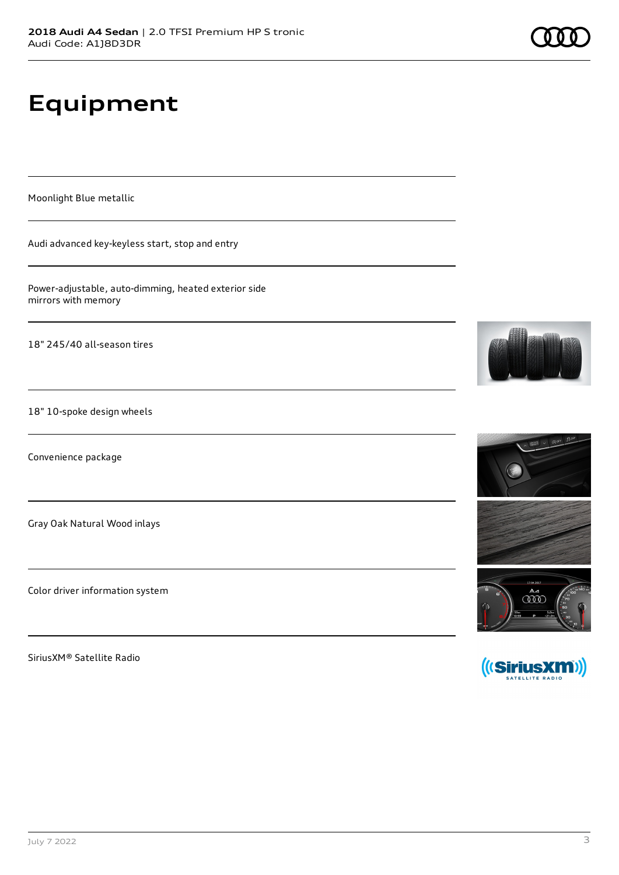# **Equipment**

Moonlight Blue metallic

Audi advanced key-keyless start, stop and entry

Power-adjustable, auto-dimming, heated exterior side mirrors with memory

18" 245/40 all-season tires

18" 10-spoke design wheels

Convenience package

Gray Oak Natural Wood inlays

Color driver information system

SiriusXM® Satellite Radio







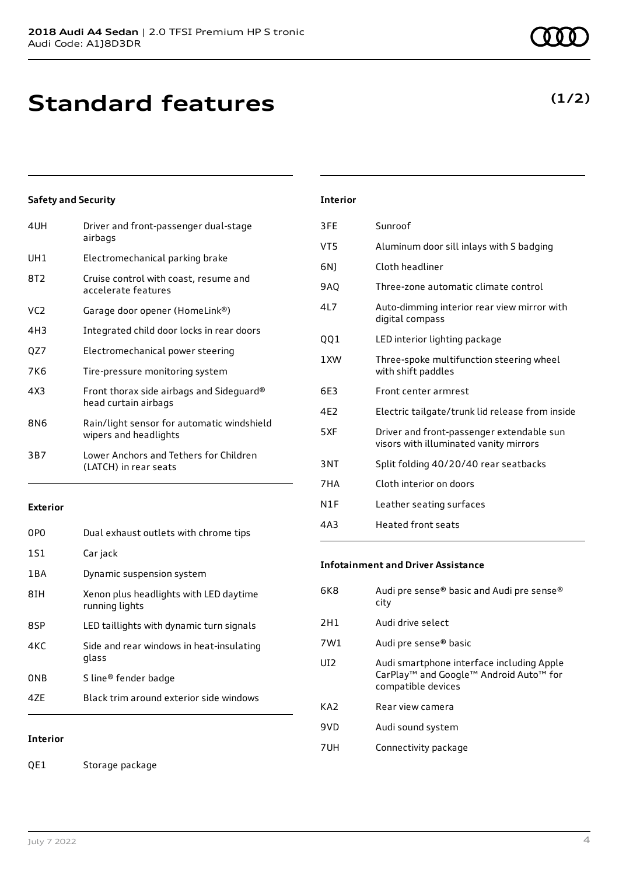## **Standard features**

### **Safety and Security**

| 4UH   | Driver and front-passenger dual-stage<br>airbags                    |
|-------|---------------------------------------------------------------------|
| UH1   | Electromechanical parking brake                                     |
| 8T2   | Cruise control with coast, resume and<br>accelerate features        |
| VC2   | Garage door opener (HomeLink®)                                      |
| 4H3   | Integrated child door locks in rear doors                           |
| QZ7   | Electromechanical power steering                                    |
| 7K6   | Tire-pressure monitoring system                                     |
| 4 X 3 | Front thorax side airbags and Sideguard®<br>head curtain airbags    |
| 8N6   | Rain/light sensor for automatic windshield<br>wipers and headlights |
| 3B7   | Lower Anchors and Tethers for Children<br>(LATCH) in rear seats     |

### **Exterior**

| 0PO   | Dual exhaust outlets with chrome tips                    |
|-------|----------------------------------------------------------|
| 1S1   | Car jack                                                 |
| 1 B A | Dynamic suspension system                                |
| 8TH   | Xenon plus headlights with LED daytime<br>running lights |
| 8SP   | LED taillights with dynamic turn signals                 |
| 4KC   | Side and rear windows in heat-insulating<br>glass        |
| 0NB   | S line® fender badge                                     |
| 47F   | Black trim around exterior side windows                  |
|       |                                                          |

### **Interior**

QE1 Storage package

### **Interior** 3FE Sunroof

| VT5             | Aluminum door sill inlays with S badging                                            |
|-----------------|-------------------------------------------------------------------------------------|
| 6N)             | Cloth headliner                                                                     |
| 9AQ             | Three-zone automatic climate control                                                |
| 417             | Auto-dimming interior rear view mirror with<br>digital compass                      |
| 001             | LED interior lighting package                                                       |
| 1 XW            | Three-spoke multifunction steering wheel<br>with shift paddles                      |
| 6F3             | Front center armrest                                                                |
| 4F <sub>2</sub> | Electric tailgate/trunk lid release from inside                                     |
| 5XF             | Driver and front-passenger extendable sun<br>visors with illuminated vanity mirrors |
| 3NT             | Split folding 40/20/40 rear seatbacks                                               |
| 7HA             | Cloth interior on doors                                                             |
| N1F             | Leather seating surfaces                                                            |
| 4A3             | Heated front seats                                                                  |

### **Infotainment and Driver Assistance**

| 6K8             | Audi pre sense® basic and Audi pre sense®<br>city                                                                     |
|-----------------|-----------------------------------------------------------------------------------------------------------------------|
| 2H1             | Audi drive select                                                                                                     |
| 7W1             | Audi pre sense® basic                                                                                                 |
| UI2             | Audi smartphone interface including Apple<br>CarPlay <sup>™</sup> and Google™ Android Auto™ for<br>compatible devices |
| KA <sub>2</sub> | Rear view camera                                                                                                      |
| 9VD             | Audi sound system                                                                                                     |
| 7UH             | Connectivity package                                                                                                  |

### **(1/2)**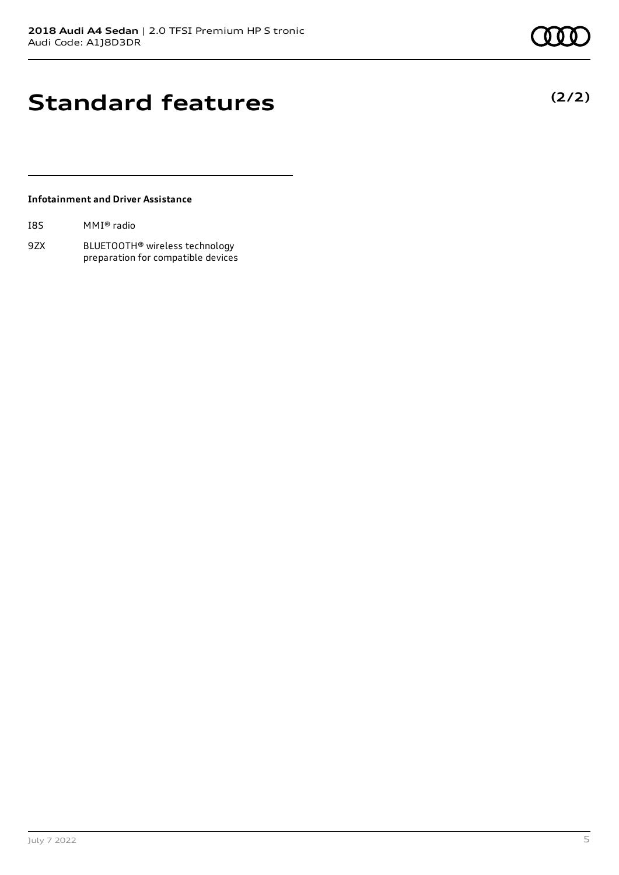**(2/2)**

## **Standard features**

### **Infotainment and Driver Assistance**

| I8S | MMI® radio |  |
|-----|------------|--|
|-----|------------|--|

9ZX BLUETOOTH® wireless technology preparation for compatible devices

July 7 2022 5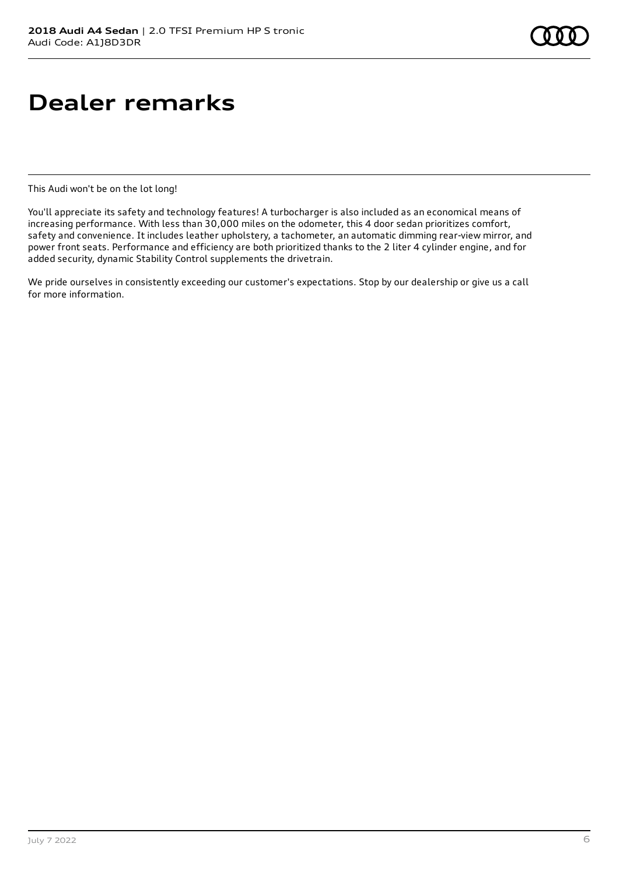# **Dealer remarks**

This Audi won't be on the lot long!

You'll appreciate its safety and technology features! A turbocharger is also included as an economical means of increasing performance. With less than 30,000 miles on the odometer, this 4 door sedan prioritizes comfort, safety and convenience. It includes leather upholstery, a tachometer, an automatic dimming rear-view mirror, and power front seats. Performance and efficiency are both prioritized thanks to the 2 liter 4 cylinder engine, and for added security, dynamic Stability Control supplements the drivetrain.

We pride ourselves in consistently exceeding our customer's expectations. Stop by our dealership or give us a call for more information.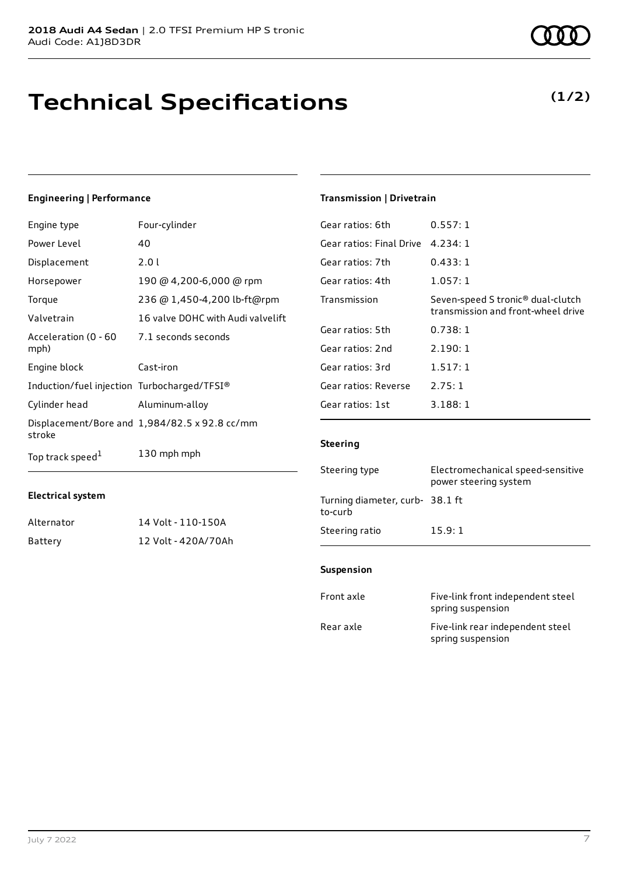## **Technical Specifications**

### **Engineering | Performance**

| Engine type                                 | Four-cylinder                                 |
|---------------------------------------------|-----------------------------------------------|
| Power Level                                 | 40                                            |
| Displacement                                | 2.01                                          |
| Horsepower                                  | 190 @ 4,200-6,000 @ rpm                       |
| Torque                                      | 236 @ 1,450-4,200 lb-ft@rpm                   |
| Valvetrain                                  | 16 valve DOHC with Audi valvelift             |
| Acceleration (0 - 60<br>mph)                | 7.1 seconds seconds                           |
| Engine block                                | Cast-iron                                     |
| Induction/fuel injection Turbocharged/TFSI® |                                               |
| Cylinder head                               | Aluminum-alloy                                |
| stroke                                      | Displacement/Bore and 1,984/82.5 x 92.8 cc/mm |
| Top track speed <sup>1</sup>                | 130 mph mph                                   |

### **Transmission | Drivetrain**

| Gear ratios: 6th         | 0.557:1                                                                             |
|--------------------------|-------------------------------------------------------------------------------------|
| Gear ratios: Final Drive | 4.234:1                                                                             |
| Gear ratios: 7th         | 0.433:1                                                                             |
| Gear ratios: 4th         | 1.057:1                                                                             |
| Transmission             | Seven-speed S tronic <sup>®</sup> dual-clutch<br>transmission and front-wheel drive |
| Gear ratios: 5th         | 0.738:1                                                                             |
| Gear ratios: 2nd         | 2.190:1                                                                             |
| Gear ratios: 3rd         | 1.517:1                                                                             |
| Gear ratios: Reverse     | 2.75:1                                                                              |
| Gear ratios: 1st         | 3.188:1                                                                             |
|                          |                                                                                     |

### **Steering**

| Steering type                             | Electromechanical speed-sensitive<br>power steering system |
|-------------------------------------------|------------------------------------------------------------|
| Turning diameter, curb-38.1 ft<br>to-curb |                                                            |
| Steering ratio                            | 15.9:1                                                     |

#### **Suspension**

| Front axle | Five-link front independent steel<br>spring suspension |
|------------|--------------------------------------------------------|
| Rear axle  | Five-link rear independent steel<br>spring suspension  |

### **Electrical system**

| Alternator | 14 Volt - 110-150A  |
|------------|---------------------|
| Battery    | 12 Volt - 420A/70Ah |

### **(1/2)**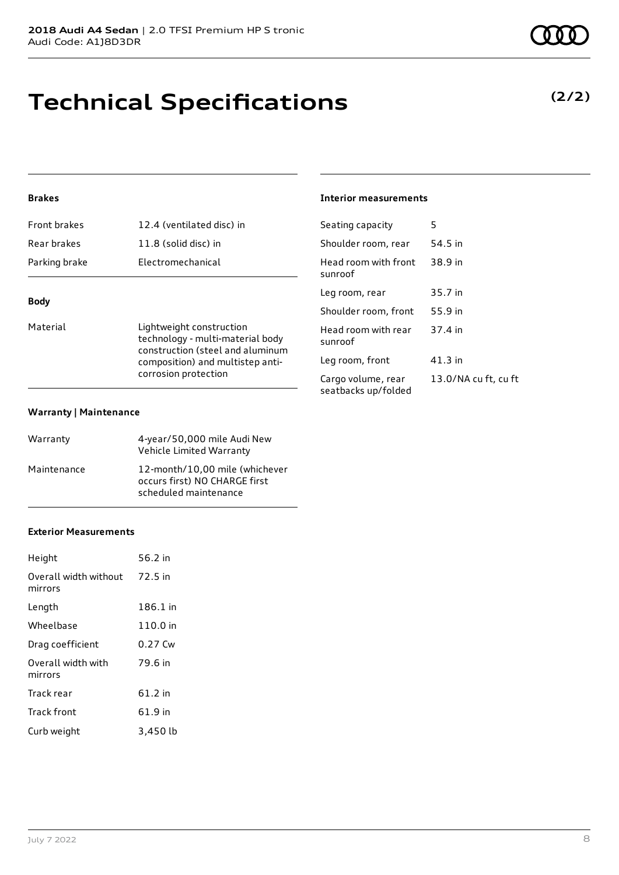## **Technical Specifications**

### **Brakes**

| <b>Front brakes</b> | 12.4 (ventilated disc) in |
|---------------------|---------------------------|
| Rear brakes         | 11.8 (solid disc) in      |
| Parking brake       | Electromechanical         |
|                     |                           |

### **Body**

Material **Material** Lightweight construction technology - multi-material body construction (steel and aluminum composition) and multistep anticorrosion protection

#### **Warranty | Maintenance**

| Warranty    | 4-year/50,000 mile Audi New<br>Vehicle Limited Warranty                                  |
|-------------|------------------------------------------------------------------------------------------|
| Maintenance | 12-month/10.00 mile (whichever<br>occurs first) NO CHARGE first<br>scheduled maintenance |

#### **Exterior Measurements**

| Height                           | 56.2 in  |
|----------------------------------|----------|
| Overall width without<br>mirrors | 72.5 in  |
| Length                           | 186.1 in |
| Wheelbase                        | 110.0 in |
| Drag coefficient                 | 0.27 Cw  |
| Overall width with<br>mirrors    | 79.6 in  |
| Track rear                       | 61.2 in  |
| Track front                      | 61.9 in  |
| Curb weight                      | 3,450 lb |

### **Interior measurements**

| Seating capacity                          | 5                    |
|-------------------------------------------|----------------------|
| Shoulder room, rear                       | 54.5 in              |
| Head room with front<br>sunroof           | 38.9 in              |
| Leg room, rear                            | 35.7 in              |
| Shoulder room, front                      | 55.9 in              |
| Head room with rear<br>sunroof            | 37.4 in              |
| Leg room, front                           | 41.3 in              |
| Cargo volume, rear<br>seatbacks up/folded | 13.0/NA cu ft, cu ft |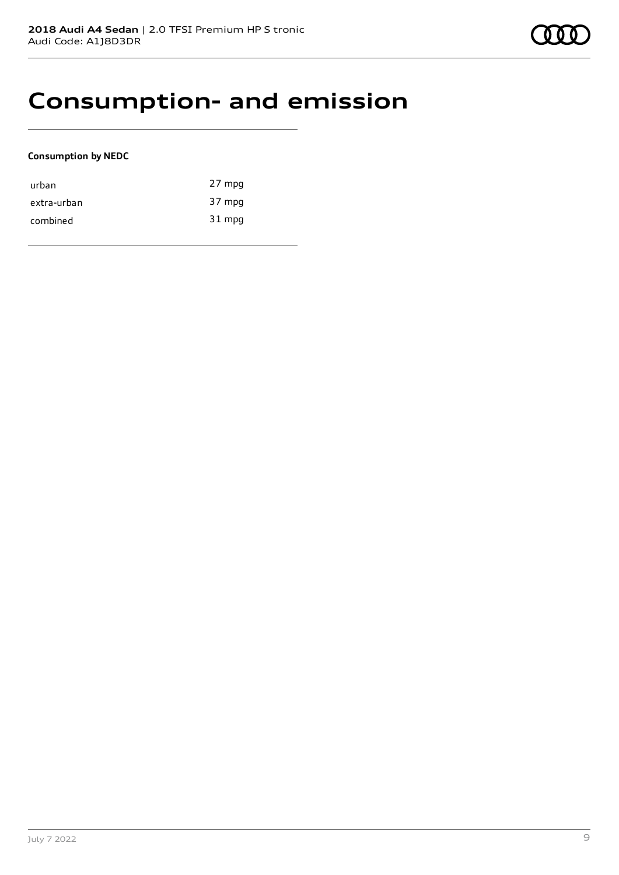### **Consumption- and emission**

### **Consumption by NEDC**

| urban       | 27 mpg |
|-------------|--------|
| extra-urban | 37 mpg |
| combined    | 31 mpg |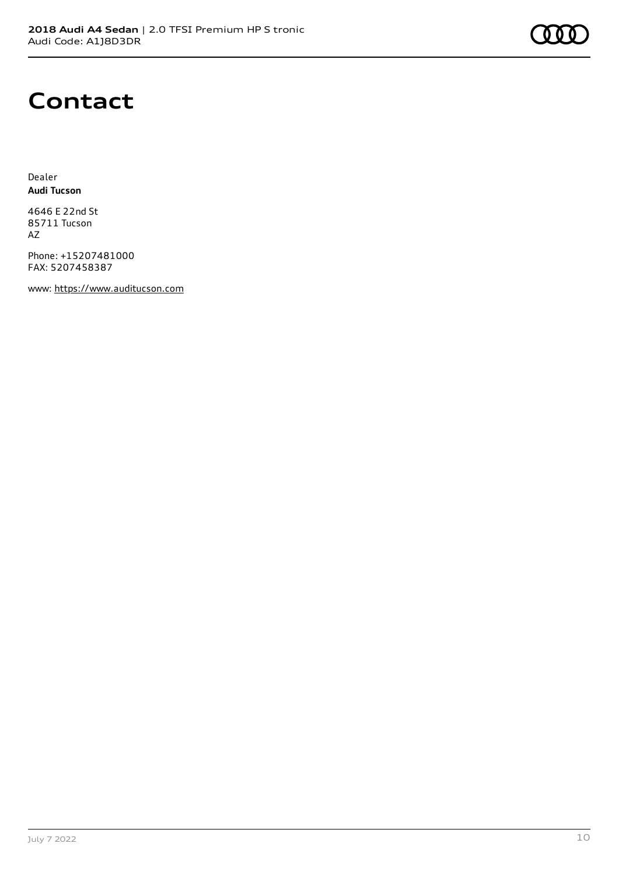### **Contact**

Dealer **Audi Tucson**

4646 E 22nd St 85711 Tucson AZ

Phone: +15207481000 FAX: 5207458387

www: [https://www.auditucson.com](https://www.auditucson.com/)